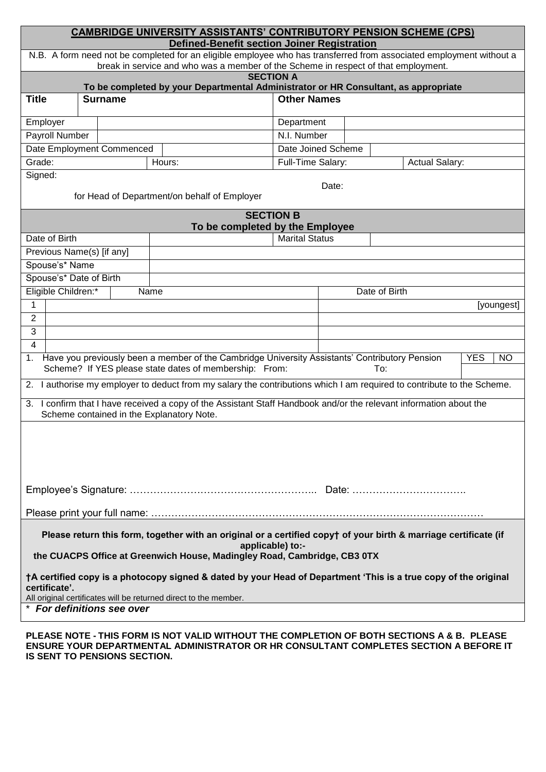| <b>CAMBRIDGE UNIVERSITY ASSISTANTS' CONTRIBUTORY PENSION SCHEME (CPS)</b>                                                                                                                                 |                                                                                                                             |             |                       |                       |  |            |  |
|-----------------------------------------------------------------------------------------------------------------------------------------------------------------------------------------------------------|-----------------------------------------------------------------------------------------------------------------------------|-------------|-----------------------|-----------------------|--|------------|--|
| <b>Defined-Benefit section Joiner Registration</b>                                                                                                                                                        |                                                                                                                             |             |                       |                       |  |            |  |
| N.B. A form need not be completed for an eligible employee who has transferred from associated employment without a<br>break in service and who was a member of the Scheme in respect of that employment. |                                                                                                                             |             |                       |                       |  |            |  |
| <b>SECTION A</b>                                                                                                                                                                                          |                                                                                                                             |             |                       |                       |  |            |  |
| <b>Title</b>                                                                                                                                                                                              | To be completed by your Departmental Administrator or HR Consultant, as appropriate<br><b>Other Names</b><br><b>Surname</b> |             |                       |                       |  |            |  |
|                                                                                                                                                                                                           |                                                                                                                             |             |                       |                       |  |            |  |
| Employer                                                                                                                                                                                                  |                                                                                                                             |             | Department            |                       |  |            |  |
| Payroll Number                                                                                                                                                                                            |                                                                                                                             | N.I. Number |                       |                       |  |            |  |
| Date Employment Commenced                                                                                                                                                                                 |                                                                                                                             |             |                       | Date Joined Scheme    |  |            |  |
| Grade:                                                                                                                                                                                                    |                                                                                                                             | Hours:      | Full-Time Salary:     | <b>Actual Salary:</b> |  |            |  |
| Signed:                                                                                                                                                                                                   |                                                                                                                             |             |                       |                       |  |            |  |
|                                                                                                                                                                                                           | Date:<br>for Head of Department/on behalf of Employer                                                                       |             |                       |                       |  |            |  |
|                                                                                                                                                                                                           |                                                                                                                             |             |                       |                       |  |            |  |
| <b>SECTION B</b><br>To be completed by the Employee                                                                                                                                                       |                                                                                                                             |             |                       |                       |  |            |  |
| Date of Birth                                                                                                                                                                                             |                                                                                                                             |             | <b>Marital Status</b> |                       |  |            |  |
|                                                                                                                                                                                                           | Previous Name(s) [if any]                                                                                                   |             |                       |                       |  |            |  |
| Spouse's* Name                                                                                                                                                                                            |                                                                                                                             |             |                       |                       |  |            |  |
| Spouse's* Date of Birth                                                                                                                                                                                   |                                                                                                                             |             |                       |                       |  |            |  |
| Eligible Children:*<br>Name                                                                                                                                                                               |                                                                                                                             |             | Date of Birth         |                       |  |            |  |
| 1                                                                                                                                                                                                         |                                                                                                                             |             |                       |                       |  | [youngest] |  |
| $\overline{2}$                                                                                                                                                                                            |                                                                                                                             |             |                       |                       |  |            |  |
| 3                                                                                                                                                                                                         |                                                                                                                             |             |                       |                       |  |            |  |
| $\overline{4}$                                                                                                                                                                                            |                                                                                                                             |             |                       |                       |  |            |  |
| 1. Have you previously been a member of the Cambridge University Assistants' Contributory Pension<br><b>YES</b><br><b>NO</b>                                                                              |                                                                                                                             |             |                       |                       |  |            |  |
| Scheme? If YES please state dates of membership: From:<br>To:                                                                                                                                             |                                                                                                                             |             |                       |                       |  |            |  |
| 2. I authorise my employer to deduct from my salary the contributions which I am required to contribute to the Scheme.                                                                                    |                                                                                                                             |             |                       |                       |  |            |  |
| 3. I confirm that I have received a copy of the Assistant Staff Handbook and/or the relevant information about the<br>Scheme contained in the Explanatory Note.                                           |                                                                                                                             |             |                       |                       |  |            |  |
|                                                                                                                                                                                                           |                                                                                                                             |             |                       |                       |  |            |  |
|                                                                                                                                                                                                           |                                                                                                                             |             |                       |                       |  |            |  |
|                                                                                                                                                                                                           |                                                                                                                             |             |                       |                       |  |            |  |
|                                                                                                                                                                                                           |                                                                                                                             |             |                       |                       |  |            |  |
|                                                                                                                                                                                                           |                                                                                                                             |             |                       |                       |  |            |  |
|                                                                                                                                                                                                           |                                                                                                                             |             |                       |                       |  |            |  |
|                                                                                                                                                                                                           |                                                                                                                             |             |                       |                       |  |            |  |
|                                                                                                                                                                                                           |                                                                                                                             |             |                       |                       |  |            |  |
| Please return this form, together with an original or a certified copy† of your birth & marriage certificate (if<br>applicable) to:-                                                                      |                                                                                                                             |             |                       |                       |  |            |  |
| the CUACPS Office at Greenwich House, Madingley Road, Cambridge, CB3 0TX                                                                                                                                  |                                                                                                                             |             |                       |                       |  |            |  |
|                                                                                                                                                                                                           |                                                                                                                             |             |                       |                       |  |            |  |
| †A certified copy is a photocopy signed & dated by your Head of Department 'This is a true copy of the original<br>certificate'.<br>All original certificates will be returned direct to the member.      |                                                                                                                             |             |                       |                       |  |            |  |
| * For definitions see over                                                                                                                                                                                |                                                                                                                             |             |                       |                       |  |            |  |
|                                                                                                                                                                                                           |                                                                                                                             |             |                       |                       |  |            |  |
| PLEASE NOTE - THIS FORM IS NOT VALID WITHOUT THE COMPLETION OF BOTH SECTIONS A & B. PLEASE                                                                                                                |                                                                                                                             |             |                       |                       |  |            |  |

**ENSURE YOUR DEPARTMENTAL ADMINISTRATOR OR HR CONSULTANT COMPLETES SECTION A BEFORE IT IS SENT TO PENSIONS SECTION.**